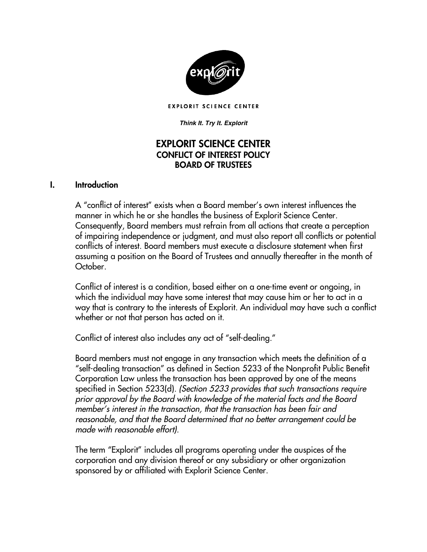

**EXPLORIT SCIENCE CENTER** 

#### *Think It. Try It. Explorit*

## EXPLORIT SCIENCE CENTER CONFLICT OF INTEREST POLICY BOARD OF TRUSTEES

#### I. Introduction

A "conflict of interest" exists when a Board member's own interest influences the manner in which he or she handles the business of Explorit Science Center. Consequently, Board members must refrain from all actions that create a perception of impairing independence or judgment, and must also report all conflicts or potential conflicts of interest. Board members must execute a disclosure statement when first assuming a position on the Board of Trustees and annually thereafter in the month of October.

Conflict of interest is a condition, based either on a one-time event or ongoing, in which the individual may have some interest that may cause him or her to act in a way that is contrary to the interests of Explorit. An individual may have such a conflict whether or not that person has acted on it.

Conflict of interest also includes any act of "self-dealing."

Board members must not engage in any transaction which meets the definition of a "self-dealing transaction" as defined in Section 5233 of the Nonprofit Public Benefit Corporation Law unless the transaction has been approved by one of the means specified in Section 5233(d). *(Section 5233 provides that such transactions require prior approval by the Board with knowledge of the material facts and the Board member's interest in the transaction, that the transaction has been fair and reasonable, and that the Board determined that no better arrangement could be made with reasonable effort).*

The term "Explorit" includes all programs operating under the auspices of the corporation and any division thereof or any subsidiary or other organization sponsored by or affiliated with Explorit Science Center.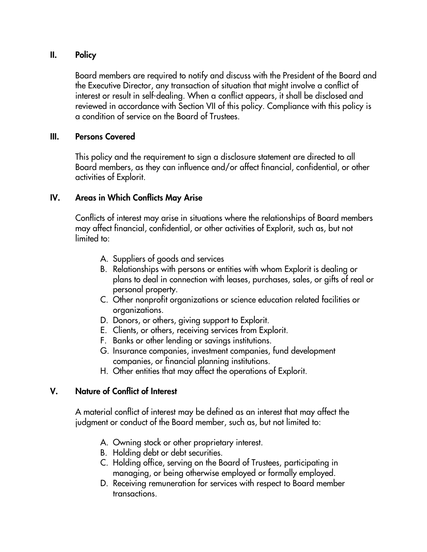## II. Policy

Board members are required to notify and discuss with the President of the Board and the Executive Director, any transaction of situation that might involve a conflict of interest or result in self-dealing. When a conflict appears, it shall be disclosed and reviewed in accordance with Section VII of this policy. Compliance with this policy is a condition of service on the Board of Trustees.

#### III. Persons Covered

This policy and the requirement to sign a disclosure statement are directed to all Board members, as they can influence and/or affect financial, confidential, or other activities of Explorit.

#### IV. Areas in Which Conflicts May Arise

Conflicts of interest may arise in situations where the relationships of Board members may affect financial, confidential, or other activities of Explorit, such as, but not limited to:

- A. Suppliers of goods and services
- B. Relationships with persons or entities with whom Explorit is dealing or plans to deal in connection with leases, purchases, sales, or gifts of real or personal property.
- C. Other nonprofit organizations or science education related facilities or organizations.
- D. Donors, or others, giving support to Explorit.
- E. Clients, or others, receiving services from Explorit.
- F. Banks or other lending or savings institutions.
- G. Insurance companies, investment companies, fund development companies, or financial planning institutions.
- H. Other entities that may affect the operations of Explorit.

#### V. Nature of Conflict of Interest

A material conflict of interest may be defined as an interest that may affect the judgment or conduct of the Board member, such as, but not limited to:

- A. Owning stock or other proprietary interest.
- B. Holding debt or debt securities.
- C. Holding office, serving on the Board of Trustees, participating in managing, or being otherwise employed or formally employed.
- D. Receiving remuneration for services with respect to Board member transactions.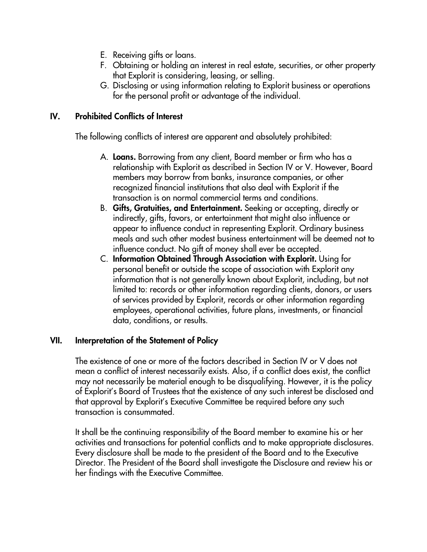- E. Receiving gifts or loans.
- F. Obtaining or holding an interest in real estate, securities, or other property that Explorit is considering, leasing, or selling.
- G. Disclosing or using information relating to Explorit business or operations for the personal profit or advantage of the individual.

## IV. Prohibited Conflicts of Interest

The following conflicts of interest are apparent and absolutely prohibited:

- A. Loans. Borrowing from any client, Board member or firm who has a relationship with Explorit as described in Section IV or V. However, Board members may borrow from banks, insurance companies, or other recognized financial institutions that also deal with Explorit if the transaction is on normal commercial terms and conditions.
- B. Gifts, Gratuities, and Entertainment. Seeking or accepting, directly or indirectly, gifts, favors, or entertainment that might also influence or appear to influence conduct in representing Explorit. Ordinary business meals and such other modest business entertainment will be deemed not to influence conduct. No gift of money shall ever be accepted.
- C. Information Obtained Through Association with Explorit. Using for personal benefit or outside the scope of association with Explorit any information that is not generally known about Explorit, including, but not limited to: records or other information regarding clients, donors, or users of services provided by Explorit, records or other information regarding employees, operational activities, future plans, investments, or financial data, conditions, or results.

#### VII. Interpretation of the Statement of Policy

The existence of one or more of the factors described in Section IV or V does not mean a conflict of interest necessarily exists. Also, if a conflict does exist, the conflict may not necessarily be material enough to be disqualifying. However, it is the policy of Explorit's Board of Trustees that the existence of any such interest be disclosed and that approval by Explorit's Executive Committee be required before any such transaction is consummated.

It shall be the continuing responsibility of the Board member to examine his or her activities and transactions for potential conflicts and to make appropriate disclosures. Every disclosure shall be made to the president of the Board and to the Executive Director. The President of the Board shall investigate the Disclosure and review his or her findings with the Executive Committee.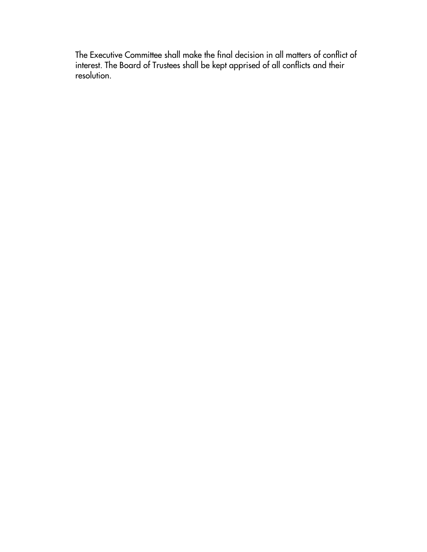The Executive Committee shall make the final decision in all matters of conflict of interest. The Board of Trustees shall be kept apprised of all conflicts and their resolution.